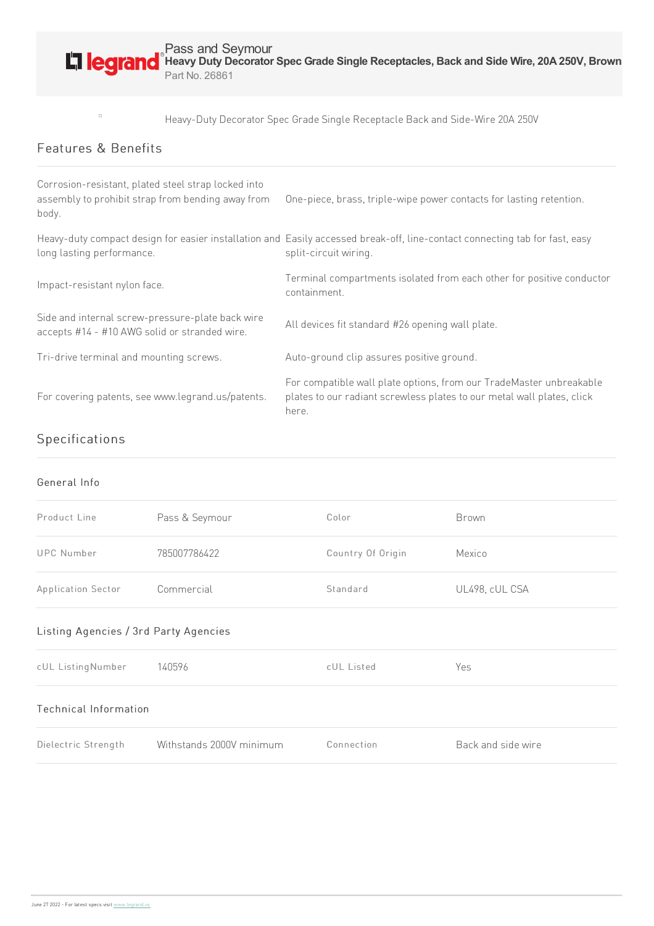

Heavy-Duty Decorator Spec Grade Single Receptacle Back and Side-Wire 20A 250V

## Features & Benefits

 $\Box$ 

| Corrosion-resistant, plated steel strap locked into<br>assembly to prohibit strap from bending away from<br>body. | One-piece, brass, triple-wipe power contacts for lasting retention.                                                                                    |
|-------------------------------------------------------------------------------------------------------------------|--------------------------------------------------------------------------------------------------------------------------------------------------------|
| long lasting performance.                                                                                         | Heavy-duty compact design for easier installation and Easily accessed break-off, line-contact connecting tab for fast, easy<br>split-circuit wiring.   |
| Impact-resistant nylon face.                                                                                      | Terminal compartments isolated from each other for positive conductor<br>containment.                                                                  |
| Side and internal screw-pressure-plate back wire<br>accepts #14 - #10 AWG solid or stranded wire.                 | All devices fit standard #26 opening wall plate.                                                                                                       |
| Tri-drive terminal and mounting screws.                                                                           | Auto-ground clip assures positive ground.                                                                                                              |
| For covering patents, see www.legrand.us/patents.                                                                 | For compatible wall plate options, from our TradeMaster unbreakable<br>plates to our radiant screwless plates to our metal wall plates, click<br>here. |

## Specifications

## General Info

| Product Line       | Pass & Seymour | Color             | Brown          |
|--------------------|----------------|-------------------|----------------|
| UPC Number         | 785007786422   | Country Of Origin | Mexico         |
| Application Sector | Commercial     | Standard          | UL498, cUL CSA |

## Listing Agencies / 3rd Party Agencies

| cUL Listing Number    | 140596                   | cUL Listed | Yes                |  |  |  |
|-----------------------|--------------------------|------------|--------------------|--|--|--|
| Technical Information |                          |            |                    |  |  |  |
| Dielectric Strength   | Withstands 2000V minimum | Connection | Back and side wire |  |  |  |